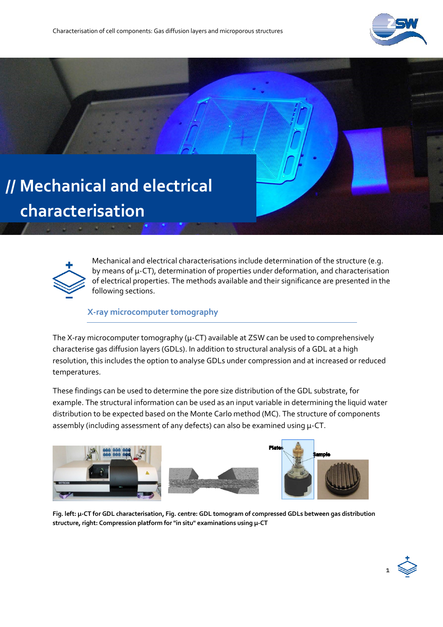

# **// Mechanical and electrical characterisation**



Mechanical and electrical characterisations include determination of the structure (e.g. by means of µ-CT), determination of properties under deformation, and characterisation of electrical properties. The methods available and their significance are presented in the following sections.

#### **X-ray microcomputer tomography**

The X-ray microcomputer tomography ( $\mu$ -CT) available at ZSW can be used to comprehensively characterise gas diffusion layers (GDLs). In addition to structural analysis of a GDL at a high resolution, this includes the option to analyse GDLs under compression and at increased or reduced temperatures.

These findings can be used to determine the pore size distribution of the GDL substrate, for example. The structural information can be used as an input variable in determining the liquid water distribution to be expected based on the Monte Carlo method (MC). The structure of components assembly (including assessment of any defects) can also be examined using  $\mu$ -CT.



**Fig. left: µ-CT for GDL characterisation, Fig. centre: GDL tomogram of compressed GDLs between gas distribution structure, right: Compression platform for "in situ" examinations using µ-CT**

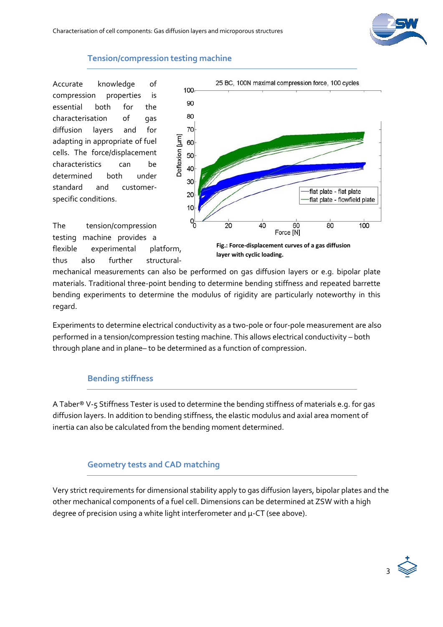

#### **Tension/compression testing machine**

Accurate knowledge of compression properties is essential both for the characterisation of gas diffusion layers and for adapting in appropriate of fuel cells. The force/displacement characteristics can be determined both under standard and customerspecific conditions.



testing machine provides a flexible experimental platform, thus also further structural-

The tension/compression

**layer with cyclic loading.**

mechanical measurements can also be performed on gas diffusion layers or e.g. bipolar plate materials. Traditional three-point bending to determine bending stiffness and repeated barrette bending experiments to determine the modulus of rigidity are particularly noteworthy in this regard.

Experiments to determine electrical conductivity as a two-pole or four-pole measurement are also performed in a tension/compression testing machine. This allows electrical conductivity – both through plane and in plane– to be determined as a function of compression.

### **Bending stiffness**

A Taber® V-5 Stiffness Tester is used to determine the bending stiffness of materials e.g. for gas diffusion layers. In addition to bending stiffness, the elastic modulus and axial area moment of inertia can also be calculated from the bending moment determined.

### **Geometry tests and CAD matching**

Very strict requirements for dimensional stability apply to gas diffusion layers, bipolar plates and the other mechanical components of a fuel cell. Dimensions can be determined at ZSW with a high degree of precision using a white light interferometer and  $\mu$ -CT (see above).